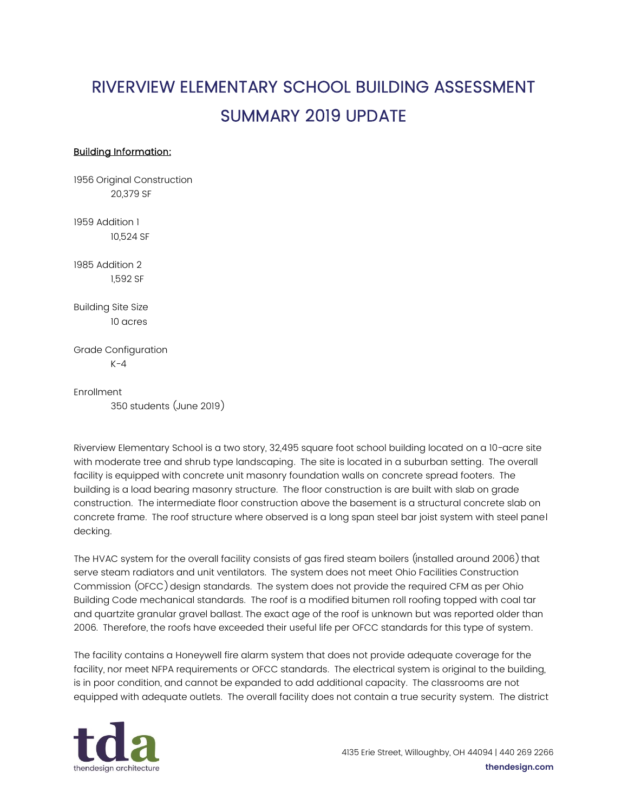## RIVERVIEW ELEMENTARY SCHOOL BUILDING ASSESSMENT SUMMARY 2019 UPDATE

## Building Information:

1956 Original Construction 20,379 SF

1959 Addition 1 10,524 SF

1985 Addition 2 1,592 SF

Building Site Size 10 acres

Grade Configuration  $K-4$ 

Enrollment 350 students (June 2019)

Riverview Elementary School is a two story, 32,495 square foot school building located on a 10-acre site with moderate tree and shrub type landscaping. The site is located in a suburban setting. The overall facility is equipped with concrete unit masonry foundation walls on concrete spread footers. The building is a load bearing masonry structure. The floor construction is are built with slab on grade construction. The intermediate floor construction above the basement is a structural concrete slab on concrete frame. The roof structure where observed is a long span steel bar joist system with steel panel decking.

The HVAC system for the overall facility consists of gas fired steam boilers (installed around 2006) that serve steam radiators and unit ventilators. The system does not meet Ohio Facilities Construction Commission (OFCC) design standards. The system does not provide the required CFM as per Ohio Building Code mechanical standards. The roof is a modified bitumen roll roofing topped with coal tar and quartzite granular gravel ballast. The exact age of the roof is unknown but was reported older than 2006. Therefore, the roofs have exceeded their useful life per OFCC standards for this type of system.

The facility contains a Honeywell fire alarm system that does not provide adequate coverage for the facility, nor meet NFPA requirements or OFCC standards. The electrical system is original to the building, is in poor condition, and cannot be expanded to add additional capacity. The classrooms are not equipped with adequate outlets. The overall facility does not contain a true security system. The district